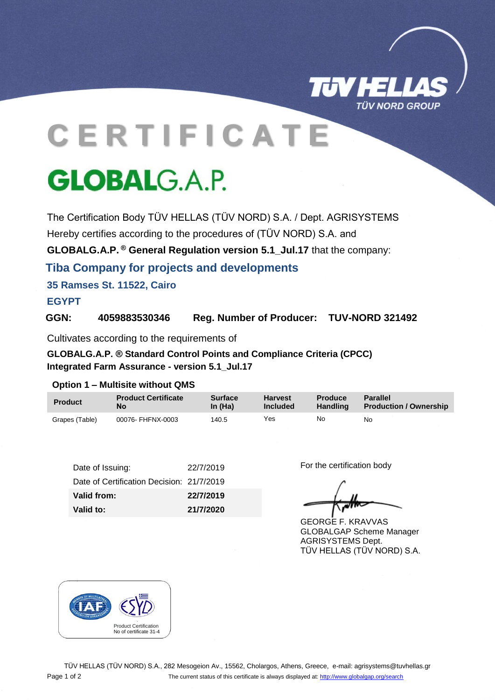

# **C E R T I F I C A T E**

## **GLOBALG.A.P.**

The Certification Body TÜV HELLAS (TÜV NORD) S.A. / Dept. AGRISYSTEMS Hereby certifies according to the procedures of (TÜV NORD) S.A. and

**GLOBALG.A.P. ® General Regulation version 5.1\_Jul.17** that the company:

**Tiba Company for projects and developments**

**35 Ramses St. 11522, Cairo**

### **EGYPT**

**GGN: 4059883530346 Reg. Number of Producer: TUV-NORD 321492**

Cultivates according to the requirements of

**GLOBALG.A.P. ® Standard Control Points and Compliance Criteria (CPCC) Integrated Farm Assurance - version 5.1\_Jul.17**

#### **Option 1 – Multisite without QMS**

| <b>Product</b> | <b>Product Certificate</b> | <b>Surface</b> | <b>Harvest</b> | <b>Produce</b>  | Parallel                      |
|----------------|----------------------------|----------------|----------------|-----------------|-------------------------------|
|                | No                         | In $(Ha)$      | Included       | <b>Handling</b> | <b>Production / Ownership</b> |
| Grapes (Table) | 00076- FHFNX-0003          | 140.5          | Yes            | No              | No                            |

| Valid to:                                 | 21/7/2020 |
|-------------------------------------------|-----------|
| Valid from:                               | 22/7/2019 |
| Date of Certification Decision: 21/7/2019 |           |
| Date of Issuing:                          | 22/7/2019 |

For the certification body

GEORGE F. KRAVVAS GLOBALGAP Scheme Manager AGRISYSTEMS Dept. TÜV HELLAS (TÜV NORD) S.A.